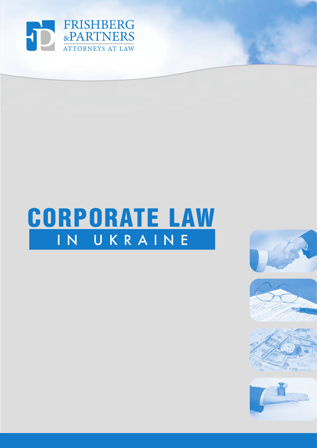

# IN UKRAINE CORPORATE LAW

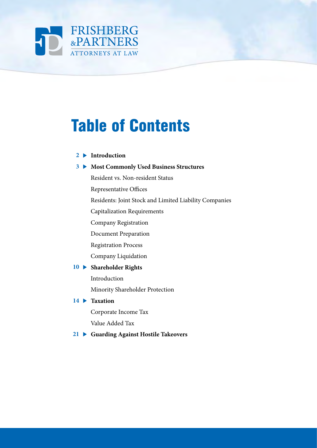

# Table of Contents

#### **Introduction 2**

#### **1** Most Commonly Used Business Structures

Resident vs. Non-resident Status

Representative Offices

Residents: Joint Stock and Limited Liability Companies

Capitalization Requirements

Company Registration

Document Preparation

Registration Process

Company Liquidation

#### **Shareholder Rights 10**

Introduction

Minority Shareholder Protection

#### **Taxation 14**

Corporate Income Tax

Value Added Tax

 **Guarding Against Hostile Takeovers 21**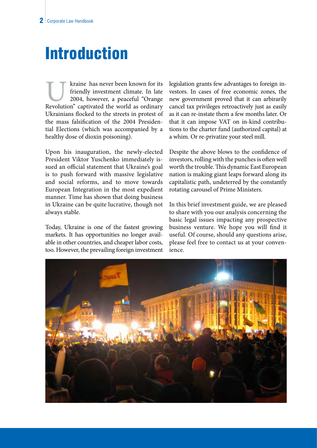### Introduction

Kraine has never been known for its<br>
friendly investment climate. In late<br>
2004, however, a peaceful "Orange<br>
Revolution" captivated the world as ordinary friendly investment climate. In late 2004, however, a peaceful "Orange Ukrainians flocked to the streets in protest of the mass falsification of the 2004 Presidential Elections (which was accompanied by a healthy dose of dioxin poisoning).

Upon his inauguration, the newly-elected President Viktor Yuschenko immediately issued an official statement that Ukraine's goal is to push forward with massive legislative and social reforms, and to move towards European Integration in the most expedient manner. Time has shown that doing business in Ukraine can be quite lucrative, though not always stable.

Today, Ukraine is one of the fastest growing markets. It has opportunities no longer available in other countries, and cheaper labor costs, too. However, the prevailing foreign investment legislation grants few advantages to foreign investors. In cases of free economic zones, the new government proved that it can arbirarily cancel tax privileges retroactively just as easily as it can re-instate them a few months later. Or that it can impose VAT on in-kind contributions to the charter fund (authorized capital) at a whim. Or re-privatize your steel mill.

Despite the above blows to the confidence of investors, rolling with the punches is often well worth the trouble. This dynamic East European nation is making giant leaps forward along its capitalistic path, undeterred by the constantly rotating carousel of Prime Ministers.

In this brief investment guide, we are pleased to share with you our analysis concerning the basic legal issues impacting any prospective business venture. We hope you will find it useful. Of course, should any questions arise, please feel free to contact us at your convenience.

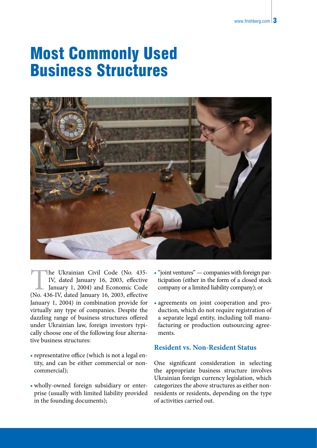### Most Commonly Used Business Structures



The Ukrainian Civil Code (No. 435-IV, dated January 16, 2003, effective January 1, 2004) and Economic Code (No. 436-IV, dated January 16, 2003, effective IV, dated January 16, 2003, effective January 1, 2004) and Economic Code January 1, 2004) in combination provide for virtually any type of companies. Despite the dazzling range of business structures offered under Ukrainian law, foreign investors typically choose one of the following four alternative business structures:

- representative office (which is not a legal entity, and can be either commercial or noncommercial);
- wholly-owned foreign subsidiary or enterprise (usually with limited liability provided in the founding documents);
- "joint ventures" companies with foreign participation (either in the form of a closed stock company or a limited liability company); or
- agreements on joint cooperation and production, which do not require registration of a separate legal entity, including toll manufacturing or production outsourcing agreements.

#### **Resident vs. Non-Resident Status**

One significant consideration in selecting the appropriate business structure involves Ukrainian foreign currency legislation, which categorizes the above structures as either nonresidents or residents, depending on the type of activities carried out.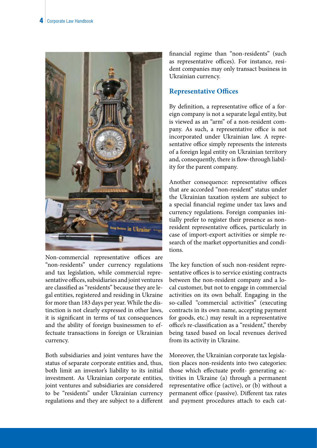

Non-commercial representative offices are "non-residents" under currency regulations and tax legislation, while commercial representative offices, subsidiaries and joint ventures are classified as "residents" because they are legal entities, registered and residing in Ukraine for more than 183 days per year. While the distinction is not clearly expressed in other laws, it is significant in terms of tax consequences and the ability of foreign businessmen to effectuate transactions in foreign or Ukrainian currency.

Both subsidiaries and joint ventures have the status of separate corporate entities and, thus, both limit an investor's liability to its initial investment. As Ukrainian corporate entities, joint ventures and subsidiaries are considered to be "residents" under Ukrainian currency regulations and they are subject to a different financial regime than "non-residents" (such as representative offices). For instance, resident companies may only transact business in Ukrainian currency.

#### **Representative Offices**

By definition, a representative office of a foreign company is not a separate legal entity, but is viewed as an "arm" of a non-resident company. As such, a representative office is not incorporated under Ukrainian law. A representative office simply represents the interests of a foreign legal entity on Ukrainian territory and, consequently, there is flow-through liability for the parent company.

Another consequence: representative offices that are accorded "non-resident" status under the Ukrainian taxation system are subject to a special financial regime under tax laws and currency regulations. Foreign companies initially prefer to register their presence as nonresident representative offices, particularly in case of import-export activities or simple research of the market opportunities and conditions.

The key function of such non-resident representative offices is to service existing contracts between the non-resident company and a local customer, but not to engage in commercial activities on its own behalf. Engaging in the so-called "commercial activities" (executing contracts in its own name, accepting payment for goods, etc.) may result in a representative office's re-classification as a "resident," thereby being taxed based on local revenues derived from its activity in Ukraine.

Moreover, the Ukrainian corporate tax legislation places non-residents into two categories: those which effectuate profit- generating activities in Ukraine (a) through a permanent representative office (active), or (b) without a permanent office (passive). Different tax rates and payment procedures attach to each cat-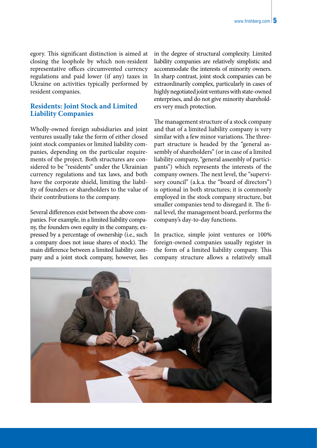egory. This significant distinction is aimed at closing the loophole by which non-resident representative offices circumvented currency regulations and paid lower (if any) taxes in Ukraine on activities typically performed by resident companies.

#### **Residents: Joint Stock and Limited Liability Companies**

Wholly-owned foreign subsidiaries and joint ventures usually take the form of either closed joint stock companies or limited liability companies, depending on the particular requirements of the project. Both structures are considered to be "residents" under the Ukrainian currency regulations and tax laws, and both have the corporate shield, limiting the liability of founders or shareholders to the value of their contributions to the company.

Several differences exist between the above companies. For example, in a limited liability company, the founders own equity in the company, expressed by a percentage of ownership (i.e., such a company does not issue shares of stock). The main difference between a limited liability company and a joint stock company, however, lies in the degree of structural complexity. Limited liability companies are relatively simplistic and accommodate the interests of minority owners. In sharp contrast, joint stock companies can be extraordinarily complex, particularly in cases of highly negotiated joint ventures with state-owned enterprises, and do not give minority shareholders very much protection.

The management structure of a stock company and that of a limited liability company is very similar with a few minor variations. The threepart structure is headed by the "general assembly of shareholders" (or in case of a limited liability company, "general assembly of participants") which represents the interests of the company owners. The next level, the "supervisory council" (a.k.a. the "board of directors") is optional in both structures; it is commonly employed in the stock company structure, but smaller companies tend to disregard it. The final level, the management board, performs the company's day-to-day functions.

In practice, simple joint ventures or 100% foreign-owned companies usually register in the form of a limited liability company. This company structure allows a relatively small

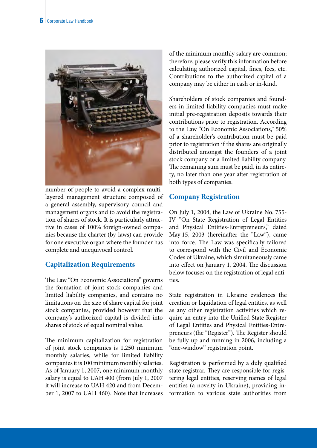

number of people to avoid a complex multilayered management structure composed of a general assembly, supervisory council and management organs and to avoid the registration of shares of stock. It is particularly attractive in cases of 100% foreign-owned companies because the charter (by-laws) can provide for one executive organ where the founder has complete and unequivocal control.

#### **Capitalization Requirements**

The Law "On Economic Associations" governs the formation of joint stock companies and limited liability companies, and contains no limitations on the size of share capital for joint stock companies, provided however that the company's authorized capital is divided into shares of stock of equal nominal value.

The minimum capitalization for registration of joint stock companies is 1,250 minimum monthly salaries, while for limited liability companies it is 100 minimum monthly salaries. As of January 1, 2007, one minimum monthly salary is equal to UAH 400 (from July 1, 2007 it will increase to UAH 420 and from December 1, 2007 to UAH 460). Note that increases of the minimum monthly salary are common; therefore, please verify this information before calculating authorized capital, fines, fees, etc. Contributions to the authorized capital of a company may be either in cash or in-kind.

Shareholders of stock companies and founders in limited liability companies must make initial pre-registration deposits towards their contributions prior to registration. According to the Law "On Economic Associations," 50% of a shareholder's contribution must be paid prior to registration if the shares are originally distributed amongst the founders of a joint stock company or a limited liability company. The remaining sum must be paid, in its entirety, no later than one year after registration of both types of companies.

#### **Company Registration**

On July 1, 2004, the Law of Ukraine No. 755- IV "On State Registration of Legal Entities and Physical Entities-Entrepreneurs," dated May 15, 2003 (hereinafter the "Law"), came into force. The Law was specifically tailored to correspond with the Civil and Economic Codes of Ukraine, which simultaneously came into effect on January 1, 2004. The discussion below focuses on the registration of legal entities.

State registration in Ukraine evidences the creation or liquidation of legal entities, as well as any other registration activities which require an entry into the Unified State Register of Legal Entities and Physical Entities-Entrepreneurs (the "Register"). The Register should be fully up and running in 2006, including a "one-window" registration point.

Registration is performed by a duly qualified state registrar. They are responsible for registering legal entities, reserving names of legal entities (a novelty in Ukraine), providing information to various state authorities from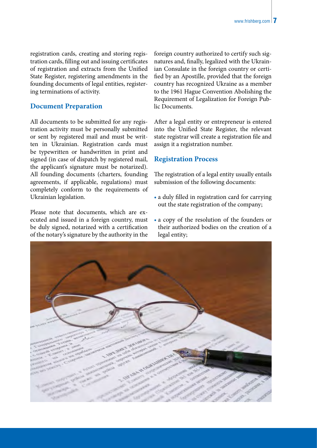registration cards, creating and storing registration cards, filling out and issuing certificates of registration and extracts from the Unified State Register, registering amendments in the founding documents of legal entities, registering terminations of activity.

#### **Document Preparation**

All documents to be submitted for any registration activity must be personally submitted or sent by registered mail and must be written in Ukrainian. Registration cards must be typewritten or handwritten in print and signed (in case of dispatch by registered mail, the applicant's signature must be notarized). All founding documents (charters, founding agreements, if applicable, regulations) must completely conform to the requirements of Ukrainian legislation.

Please note that documents, which are executed and issued in a foreign country, must be duly signed, notarized with a certification of the notary's signature by the authority in the

foreign country authorized to certify such signatures and, finally, legalized with the Ukrainian Consulate in the foreign country or certified by an Apostille, provided that the foreign country has recognized Ukraine as a member to the 1961 Hague Convention Abolishing the Requirement of Legalization for Foreign Public Documents.

After a legal entity or entrepreneur is entered into the Unified State Register, the relevant state registrar will create a registration file and assign it a registration number.

#### **Registration Process**

The registration of a legal entity usually entails submission of the following documents:

- a duly filled in registration card for carrying out the state registration of the company;
- a copy of the resolution of the founders or their authorized bodies on the creation of a legal entity;

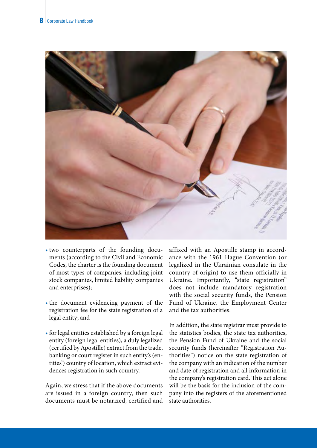

- two counterparts of the founding documents (according to the Civil and Economic Codes, the charter is the founding document of most types of companies, including joint stock companies, limited liability companies and enterprises);
- the document evidencing payment of the registration fee for the state registration of a legal entity; and
- for legal entities established by a foreign legal entity (foreign legal entities), a duly legalized (certified by Apostille) extract from the trade, banking or court register in such entity's (entities') country of location, which extract evidences registration in such country.

Again, we stress that if the above documents are issued in a foreign country, then such documents must be notarized, certified and affixed with an Apostille stamp in accordance with the 1961 Hague Convention (or legalized in the Ukrainian consulate in the country of origin) to use them officially in Ukraine. Importantly, "state registration" does not include mandatory registration with the social security funds, the Pension Fund of Ukraine, the Employment Center and the tax authorities.

In addition, the state registrar must provide to the statistics bodies, the state tax authorities, the Pension Fund of Ukraine and the social security funds (hereinafter "Registration Authorities") notice on the state registration of the company with an indication of the number and date of registration and all information in the company's registration card. This act alone will be the basis for the inclusion of the company into the registers of the aforementioned state authorities.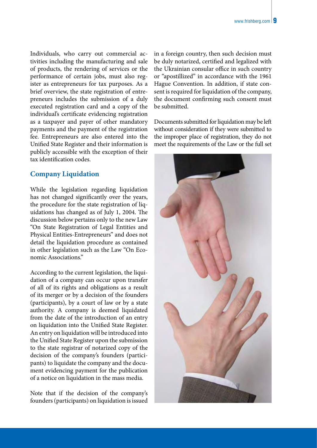Individuals, who carry out commercial activities including the manufacturing and sale of products, the rendering of services or the performance of certain jobs, must also register as entrepreneurs for tax purposes. As a brief overview, the state registration of entrepreneurs includes the submission of a duly executed registration card and a copy of the individual's certificate evidencing registration as a taxpayer and payer of other mandatory payments and the payment of the registration fee. Entrepreneurs are also entered into the Unified State Register and their information is publicly accessible with the exception of their tax identification codes.

#### **Company Liquidation**

While the legislation regarding liquidation has not changed significantly over the years, the procedure for the state registration of liquidations has changed as of July 1, 2004. The discussion below pertains only to the new Law "On State Registration of Legal Entities and Physical Entities-Entrepreneurs" and does not detail the liquidation procedure as contained in other legislation such as the Law "On Economic Associations."

According to the current legislation, the liquidation of a company can occur upon transfer of all of its rights and obligations as a result of its merger or by a decision of the founders (participants), by a court of law or by a state authority. A company is deemed liquidated from the date of the introduction of an entry on liquidation into the Unified State Register. An entry on liquidation will be introduced into the Unified State Register upon the submission to the state registrar of notarized copy of the decision of the company's founders (participants) to liquidate the company and the document evidencing payment for the publication of a notice on liquidation in the mass media.

Note that if the decision of the company's founders (participants) on liquidation is issued in a foreign country, then such decision must be duly notarized, certified and legalized with the Ukrainian consular office in such country or "apostillized" in accordance with the 1961 Hague Convention. In addition, if state consent is required for liquidation of the company, the document confirming such consent must be submitted.

Documents submitted for liquidation may be left without consideration if they were submitted to the improper place of registration, they do not meet the requirements of the Law or the full set

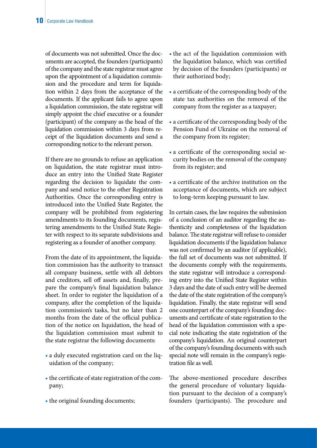of documents was not submitted. Once the documents are accepted, the founders (participants) of the company and the state registrar must agree upon the appointment of a liquidation commission and the procedure and term for liquidation within 2 days from the acceptance of the documents. If the applicant fails to agree upon a liquidation commission, the state registrar will simply appoint the chief executive or a founder (participant) of the company as the head of the liquidation commission within 3 days from receipt of the liquidation documents and send a corresponding notice to the relevant person.

If there are no grounds to refuse an application on liquidation, the state registrar must introduce an entry into the Unified State Register regarding the decision to liquidate the company and send notice to the other Registration Authorities. Once the corresponding entry is introduced into the Unified State Register, the company will be prohibited from registering amendments to its founding documents, registering amendments to the Unified State Register with respect to its separate subdivisions and registering as a founder of another company.

From the date of its appointment, the liquidation commission has the authority to transact all company business, settle with all debtors and creditors, sell off assets and, finally, prepare the company's final liquidation balance sheet. In order to register the liquidation of a company, after the completion of the liquidation commission's tasks, but no later than 2 months from the date of the official publication of the notice on liquidation, the head of the liquidation commission must submit to the state registrar the following documents:

- a duly executed registration card on the liquidation of the company;
- the certificate of state registration of the company;
- the original founding documents;
- the act of the liquidation commission with the liquidation balance, which was certified by decision of the founders (participants) or their authorized body;
- a certificate of the corresponding body of the state tax authorities on the removal of the company from the register as a taxpayer;
- a certificate of the corresponding body of the Pension Fund of Ukraine on the removal of the company from its register;
- a certificate of the corresponding social security bodies on the removal of the company from its register; and
- a certificate of the archive institution on the acceptance of documents, which are subject to long-term keeping pursuant to law.

In certain cases, the law requires the submission of a conclusion of an auditor regarding the authenticity and completeness of the liquidation balance. The state registrar will refuse to consider liquidation documents if the liquidation balance was not confirmed by an auditor (if applicable), the full set of documents was not submitted. If the documents comply with the requirements, the state registrar will introduce a corresponding entry into the Unified State Register within 3 days and the date of such entry will be deemed the date of the state registration of the company's liquidation. Finally, the state registrar will send one counterpart of the company's founding documents and certificate of state registration to the head of the liquidation commission with a special note indicating the state registration of the company's liquidation. An original counterpart of the company's founding documents with such special note will remain in the company's registration file as well.

The above-mentioned procedure describes the general procedure of voluntary liquidation pursuant to the decision of a company's founders (participants). The procedure and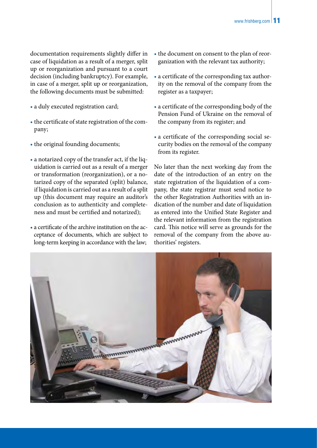documentation requirements slightly differ in case of liquidation as a result of a merger, split up or reorganization and pursuant to a court decision (including bankruptcy). For example, in case of a merger, split up or reorganization, the following documents must be submitted:

- a duly executed registration card;
- the certificate of state registration of the company;
- the original founding documents;
- a notarized copy of the transfer act, if the liquidation is carried out as a result of a merger or transformation (reorganization), or a notarized copy of the separated (split) balance, if liquidation is carried out as a result of a split up (this document may require an auditor's conclusion as to authenticity and completeness and must be certified and notarized);
- a certificate of the archive institution on the acceptance of documents, which are subject to long-term keeping in accordance with the law;
- the document on consent to the plan of reorganization with the relevant tax authority;
- a certificate of the corresponding tax authority on the removal of the company from the register as a taxpayer;
- a certificate of the corresponding body of the Pension Fund of Ukraine on the removal of the company from its register; and
- a certificate of the corresponding social security bodies on the removal of the company from its register.

No later than the next working day from the date of the introduction of an entry on the state registration of the liquidation of a company, the state registrar must send notice to the other Registration Authorities with an indication of the number and date of liquidation as entered into the Unified State Register and the relevant information from the registration card. This notice will serve as grounds for the removal of the company from the above authorities' registers.

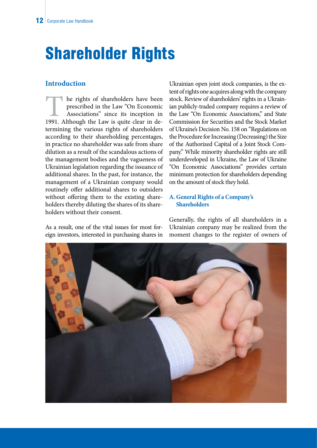# Shareholder Rights

#### **Introduction**

The rights of shareholders have been<br>prescribed in the Law "On Economic<br>Associations" since its inception in<br>1991. Although the Law is quite clear in deprescribed in the Law "On Economic Associations" since its inception in termining the various rights of shareholders according to their shareholding percentages, in practice no shareholder was safe from share dilution as a result of the scandalous actions of the management bodies and the vagueness of Ukrainian legislation regarding the issuance of additional shares. In the past, for instance, the management of a Ukrainian company would routinely offer additional shares to outsiders without offering them to the existing shareholders thereby diluting the shares of its shareholders without their consent.

As a result, one of the vital issues for most foreign investors, interested in purchasing shares in Ukrainian open joint stock companies, is the extent of rights one acquires along with the company stock. Review of shareholders' rights in a Ukrainian publicly-traded company requires a review of the Law "On Economic Associations," and State Commission for Securities and the Stock Market of Ukraine's Decision No. 158 on "Regulations on the Procedure for Increasing (Decreasing) the Size of the Authorized Capital of a Joint Stock Company." While minority shareholder rights are still underdeveloped in Ukraine, the Law of Ukraine "On Economic Associations" provides certain minimum protection for shareholders depending on the amount of stock they hold.

#### **A. General Rights of a Company's Shareholders**

Generally, the rights of all shareholders in a Ukrainian company may be realized from the moment changes to the register of owners of

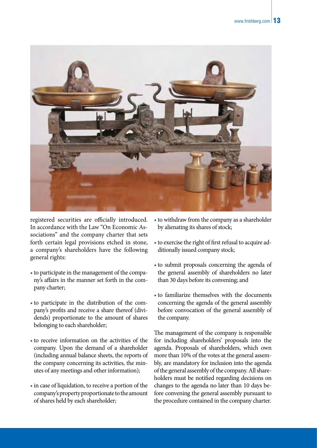

registered securities are officially introduced. In accordance with the Law "On Economic Associations" and the company charter that sets forth certain legal provisions etched in stone, a company's shareholders have the following general rights:

- •to participate in the management of the company's affairs in the manner set forth in the company charter;
- •to participate in the distribution of the company's profits and receive a share thereof (dividends) proportionate to the amount of shares belonging to each shareholder;
- •to receive information on the activities of the company. Upon the demand of a shareholder (including annual balance sheets, the reports of the company concerning its activities, the minutes of any meetings and other information);
- •in case of liquidation, to receive a portion of the company's property proportionate to the amount of shares held by each shareholder;
- •to withdraw from the company as a shareholder by alienating its shares of stock;
- •to exercise the right of first refusal to acquire additionally issued company stock;
- •to submit proposals concerning the agenda of the general assembly of shareholders no later than 30 days before its convening; and
- •to familiarize themselves with the documents concerning the agenda of the general assembly before convocation of the general assembly of the company.

The management of the company is responsible for including shareholders' proposals into the agenda. Proposals of shareholders, which own more than 10% of the votes at the general assembly, are mandatory for inclusion into the agenda of the general assembly of the company. All shareholders must be notified regarding decisions on changes to the agenda no later than 10 days before convening the general assembly pursuant to the procedure contained in the company charter.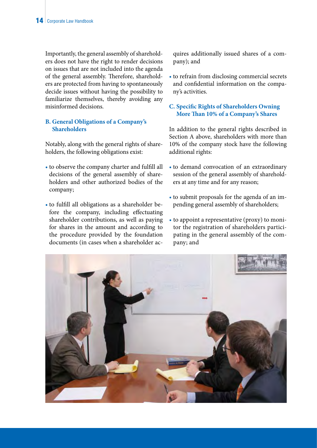Importantly, the general assembly of shareholders does not have the right to render decisions on issues that are not included into the agenda of the general assembly. Therefore, shareholders are protected from having to spontaneously decide issues without having the possibility to familiarize themselves, thereby avoiding any misinformed decisions.

#### **B. General Obligations of a Company's Shareholders**

Notably, along with the general rights of shareholders, the following obligations exist:

- to observe the company charter and fulfill all decisions of the general assembly of shareholders and other authorized bodies of the company;
- to fulfill all obligations as a shareholder before the company, including effectuating shareholder contributions, as well as paying for shares in the amount and according to the procedure provided by the foundation documents (in cases when a shareholder ac-

quires additionally issued shares of a company); and

• to refrain from disclosing commercial secrets and confidential information on the company's activities.

#### **C. Specific Rights of Shareholders Owning More Than 10% of a Company's Shares**

In addition to the general rights described in Section A above, shareholders with more than 10% of the company stock have the following additional rights:

- to demand convocation of an extraordinary session of the general assembly of shareholders at any time and for any reason;
- to submit proposals for the agenda of an impending general assembly of shareholders;
- to appoint a representative (proxy) to monitor the registration of shareholders participating in the general assembly of the company; and

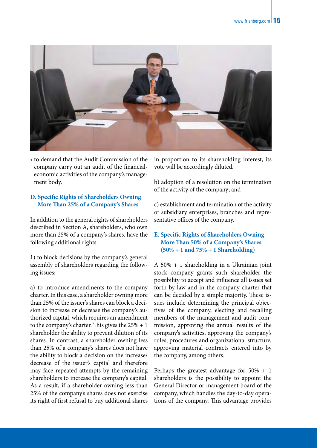

• to demand that the Audit Commission of the company carry out an audit of the financialeconomic activities of the company's management body.

#### **D. Specific Rights of Shareholders Owning More Than 25% of a Company's Shares**

In addition to the general rights of shareholders described in Section A, shareholders, who own more than 25% of a company's shares, have the following additional rights:

1) to block decisions by the company's general assembly of shareholders regarding the following issues:

a) to introduce amendments to the company charter. In this case, a shareholder owning more than 25% of the issuer's shares can block a decision to increase or decrease the company's authorized capital, which requires an amendment to the company's charter. This gives the  $25\% + 1$ shareholder the ability to prevent dilution of its shares. In contrast, a shareholder owning less than 25% of a company's shares does not have the ability to block a decision on the increase/ decrease of the issuer's capital and therefore may face repeated attempts by the remaining shareholders to increase the company's capital. As a result, if a shareholder owning less than 25% of the company's shares does not exercise its right of first refusal to buy additional shares

in proportion to its shareholding interest, its vote will be accordingly diluted.

b) adoption of a resolution on the termination of the activity of the company; and

c) establishment and termination of the activity of subsidiary enterprises, branches and representative offices of the company.

#### **E. Specific Rights of Shareholders Owning More Than 50% of a Company's Shares (50% + 1 and 75% + 1 Shareholding)**

A 50% + 1 shareholding in a Ukrainian joint stock company grants such shareholder the possibility to accept and influence all issues set forth by law and in the company charter that can be decided by a simple majority. These issues include determining the principal objectives of the company, electing and recalling members of the management and audit commission, approving the annual results of the company's activities, approving the company's rules, procedures and organizational structure, approving material contracts entered into by the company, among others.

Perhaps the greatest advantage for 50% + 1 shareholders is the possibility to appoint the General Director or management board of the company, which handles the day-to-day operations of the company. This advantage provides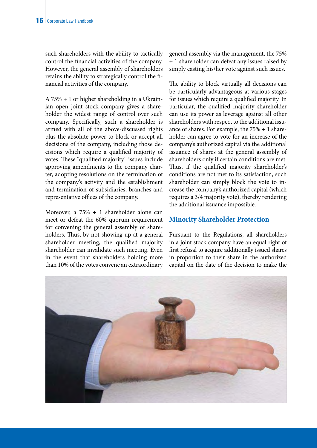such shareholders with the ability to tactically control the financial activities of the company. However, the general assembly of shareholders retains the ability to strategically control the financial activities of the company.

A 75% + 1 or higher shareholding in a Ukrainian open joint stock company gives a shareholder the widest range of control over such company. Specifically, such a shareholder is armed with all of the above-discussed rights plus the absolute power to block or accept all decisions of the company, including those decisions which require a qualified majority of votes. These "qualified majority" issues include approving amendments to the company charter, adopting resolutions on the termination of the company's activity and the establishment and termination of subsidiaries, branches and representative offices of the company.

Moreover, a 75% + 1 shareholder alone can meet or defeat the 60% quorum requirement for convening the general assembly of shareholders. Thus, by not showing up at a general shareholder meeting, the qualified majority shareholder can invalidate such meeting. Even in the event that shareholders holding more than 10% of the votes convene an extraordinary general assembly via the management, the 75% + 1 shareholder can defeat any issues raised by simply casting his/her vote against such issues.

The ability to block virtually all decisions can be particularly advantageous at various stages for issues which require a qualified majority. In particular, the qualified majority shareholder can use its power as leverage against all other shareholders with respect to the additional issuance of shares. For example, the 75% + 1 shareholder can agree to vote for an increase of the company's authorized capital via the additional issuance of shares at the general assembly of shareholders only if certain conditions are met. Thus, if the qualified majority shareholder's conditions are not met to its satisfaction, such shareholder can simply block the vote to increase the company's authorized capital (which requires a 3/4 majority vote), thereby rendering the additional issuance impossible.

#### **Minority Shareholder Protection**

Pursuant to the Regulations, all shareholders in a joint stock company have an equal right of first refusal to acquire additionally issued shares in proportion to their share in the authorized capital on the date of the decision to make the

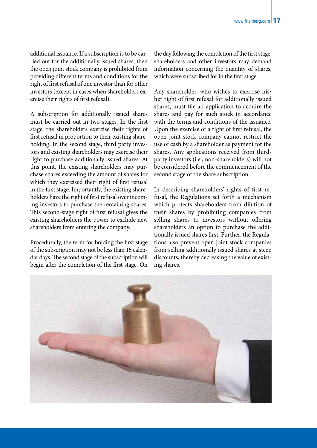additional issuance. If a subscription is to be carried out for the additionally issued shares, then the open joint stock company is prohibited from providing different terms and conditions for the right of first refusal of one investor than for other investors (except in cases when shareholders exercise their rights of first refusal).

A subscription for additionally issued shares must be carried out in two stages. In the first stage, the shareholders exercise their rights of first refusal in proportion to their existing shareholding. In the second stage, third party investors and existing shareholders may exercise their right to purchase additionally issued shares. At this point, the existing shareholders may purchase shares exceeding the amount of shares for which they exercised their right of first refusal in the first stage. Importantly, the existing shareholders have the right of first refusal over incoming investors to purchase the remaining shares. This second-stage right of first refusal gives the existing shareholders the power to exclude new shareholders from entering the company.

Procedurally, the term for holding the first stage of the subscription may not be less than 15 calendar days. The second stage of the subscription will begin after the completion of the first stage. On the day following the completion of the first stage, shareholders and other investors may demand information concerning the quantity of shares, which were subscribed for in the first stage.

Any shareholder, who wishes to exercise his/ her right of first refusal for additionally issued shares, must file an application to acquire the shares and pay for such stock in accordance with the terms and conditions of the issuance. Upon the exercise of a right of first refusal, the open joint stock company cannot restrict the use of cash by a shareholder as payment for the shares. Any applications received from thirdparty investors (i.e., non-shareholders) will not be considered before the commencement of the second stage of the share subscription.

In describing shareholders' rights of first refusal, the Regulations set forth a mechanism which protects shareholders from dilution of their shares by prohibiting companies from selling shares to investors without offering shareholders an option to purchase the additionally issued shares first. Further, the Regulations also prevent open joint stock companies from selling additionally issued shares at steep discounts, thereby decreasing the value of existing shares.

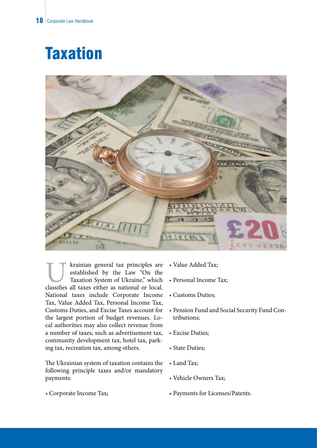### **Taxation**



krainian general tax principles are established by the Law "On the Taxation System of Ukraine," which classifies all taxes either as national or local. established by the Law "On the Taxation System of Ukraine," which National taxes include Corporate Income Tax, Value Added Tax, Personal Income Tax, Customs Duties, and Excise Taxes account for the largest portion of budget revenues. Local authorities may also collect revenue from a number of taxes, such as advertisement tax, community development tax, hotel tax, parking tax, recreation tax, among others.

The Ukrainian system of taxation contains the following principle taxes and/or mandatory payments:

• Corporate Income Tax;

- Value Added Tax;
- Personal Income Tax;
- Customs Duties;
- Pension Fund and Social Security Fund Contributions;
- Excise Duties;
- State Duties;
- Land Tax;
- Vehicle Owners Tax;
- Payments for Licenses/Patents.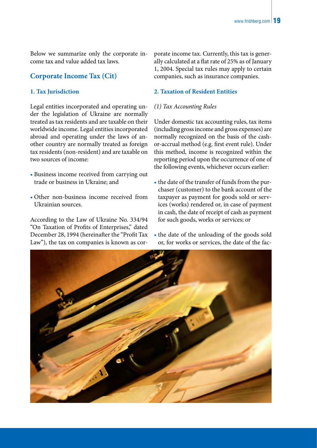Below we summarize only the corporate income tax and value added tax laws.

#### **Corporate Income Tax (Cit)**

#### **1. Tax Jurisdiction**

Legal entities incorporated and operating under the legislation of Ukraine are normally treated as tax residents and are taxable on their worldwide income. Legal entities incorporated abroad and operating under the laws of another country are normally treated as foreign tax residents (non-resident) and are taxable on two sources of income:

- Business income received from carrying out trade or business in Ukraine; and
- Other non-business income received from Ukrainian sources.

According to the Law of Ukraine No. 334/94 "On Taxation of Profits of Enterprises," dated December 28, 1994 (hereinafter the "Profit Tax Law"), the tax on companies is known as corporate income tax. Currently, this tax is generally calculated at a flat rate of 25% as of January 1, 2004. Special tax rules may apply to certain companies, such as insurance companies.

#### **2. Taxation of Resident Entities**

#### *(1) Tax Accounting Rules*

Under domestic tax accounting rules, tax items (including gross income and gross expenses) are normally recognized on the basis of the cashor-accrual method (e.g. first event rule). Under this method, income is recognized within the reporting period upon the occurrence of one of the following events, whichever occurs earlier:

- the date of the transfer of funds from the purchaser (customer) to the bank account of the taxpayer as payment for goods sold or services (works) rendered or, in case of payment in cash, the date of receipt of cash as payment for such goods, works or services; or
- the date of the unloading of the goods sold or, for works or services, the date of the fac-

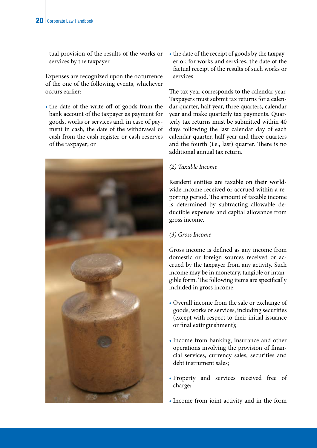tual provision of the results of the works or services by the taxpayer.

Expenses are recognized upon the occurrence of the one of the following events, whichever occurs earlier:

• the date of the write-off of goods from the bank account of the taxpayer as payment for goods, works or services and, in case of payment in cash, the date of the withdrawal of cash from the cash register or cash reserves of the taxpayer; or



• the date of the receipt of goods by the taxpayer or, for works and services, the date of the factual receipt of the results of such works or services.

The tax year corresponds to the calendar year. Taxpayers must submit tax returns for a calendar quarter, half year, three quarters, calendar year and make quarterly tax payments. Quarterly tax returns must be submitted within 40 days following the last calendar day of each calendar quarter, half year and three quarters and the fourth (i.e., last) quarter. There is no additional annual tax return.

#### *(2) Taxable Income*

Resident entities are taxable on their worldwide income received or accrued within a reporting period. The amount of taxable income is determined by subtracting allowable deductible expenses and capital allowance from gross income.

#### *(3) Gross Income*

Gross income is defined as any income from domestic or foreign sources received or accrued by the taxpayer from any activity. Such income may be in monetary, tangible or intangible form. The following items are specifically included in gross income:

- Overall income from the sale or exchange of goods, works or services, including securities (except with respect to their initial issuance or final extinguishment);
- Income from banking, insurance and other operations involving the provision of financial services, currency sales, securities and debt instrument sales;
- Property and services received free of charge;
- Income from joint activity and in the form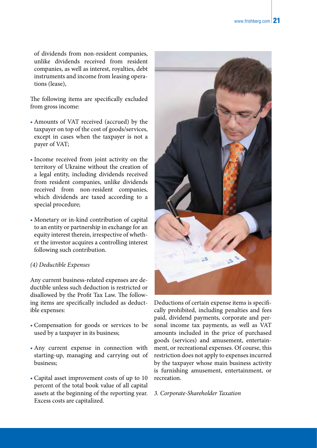of dividends from non-resident companies, unlike dividends received from resident companies, as well as interest, royalties, debt instruments and income from leasing operations (lease),

The following items are specifically excluded from gross income:

- Amounts of VAT received (accrued) by the taxpayer on top of the cost of goods/services, except in cases when the taxpayer is not a payer of VAT;
- Income received from joint activity on the territory of Ukraine without the creation of a legal entity, including dividends received from resident companies, unlike dividends received from non-resident companies, which dividends are taxed according to a special procedure;
- Monetary or in-kind contribution of capital to an entity or partnership in exchange for an equity interest therein, irrespective of whether the investor acquires a controlling interest following such contribution.

#### *(4) Deductible Expenses*

Any current business-related expenses are deductible unless such deduction is restricted or disallowed by the Profit Tax Law. The following items are specifically included as deductible expenses:

- Compensation for goods or services to be used by a taxpayer in its business;
- Any current expense in connection with starting-up, managing and carrying out of business;
- Capital asset improvement costs of up to 10 percent of the total book value of all capital assets at the beginning of the reporting year. Excess costs are capitalized.



Deductions of certain expense items is specifically prohibited, including penalties and fees paid, dividend payments, corporate and personal income tax payments, as well as VAT amounts included in the price of purchased goods (services) and amusement, entertainment, or recreational expenses. Of course, this restriction does not apply to expenses incurred by the taxpayer whose main business activity is furnishing amusement, entertainment, or recreation.

*3. Corporate-Shareholder Taxation*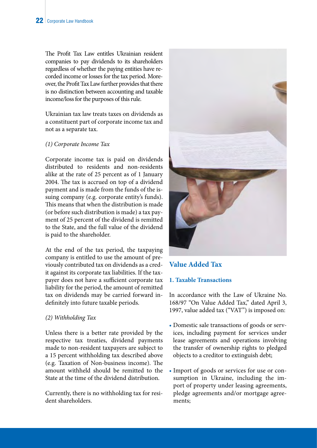The Profit Tax Law entitles Ukrainian resident companies to pay dividends to its shareholders regardless of whether the paying entities have recorded income or losses for the tax period. Moreover, the Profit Tax Law further provides that there is no distinction between accounting and taxable income/loss for the purposes of this rule.

Ukrainian tax law treats taxes on dividends as a constituent part of corporate income tax and not as a separate tax.

#### *(1) Corporate Income Tax*

Corporate income tax is paid on dividends distributed to residents and non-residents alike at the rate of 25 percent as of 1 January 2004. The tax is accrued on top of a dividend payment and is made from the funds of the issuing company (e.g. corporate entity's funds). This means that when the distribution is made (or before such distribution is made) a tax payment of 25 percent of the dividend is remitted to the State, and the full value of the dividend is paid to the shareholder.

At the end of the tax period, the taxpaying company is entitled to use the amount of previously contributed tax on dividends as a credit against its corporate tax liabilities. If the taxpayer does not have a sufficient corporate tax liability for the period, the amount of remitted tax on dividends may be carried forward indefinitely into future taxable periods.

#### *(2) Withholding Tax*

Unless there is a better rate provided by the respective tax treaties, dividend payments made to non-resident taxpayers are subject to a 15 percent withholding tax described above (e.g. Taxation of Non-business income). The amount withheld should be remitted to the State at the time of the dividend distribution.

Currently, there is no withholding tax for resident shareholders.



**Value Added Tax**

#### **1. Taxable Transactions**

In accordance with the Law of Ukraine No. 168/97 "On Value Added Tax," dated April 3, 1997, value added tax ("VAT") is imposed on:

- Domestic sale transactions of goods or services, including payment for services under lease agreements and operations involving the transfer of ownership rights to pledged objects to a creditor to extinguish debt;
- Import of goods or services for use or consumption in Ukraine, including the import of property under leasing agreements, pledge agreements and/or mortgage agreements;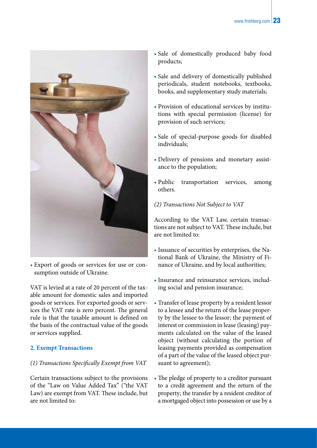

• Export of goods or services for use or consumption outside of Ukraine.

VAT is levied at a rate of 20 percent of the taxable amount for domestic sales and imported goods or services. For exported goods or services the VAT rate is zero percent. The general rule is that the taxable amount is defined on the basis of the contractual value of the goods or services supplied.

#### **2. Exempt Transactions**

#### *(1) Transactions Specifically Exempt from VAT*

Certain transactions subject to the provisions of the "Law on Value Added Tax" ("the VAT Law) are exempt from VAT. These include, but are not limited to:

- Sale of domestically produced baby food products;
- Sale and delivery of domestically published periodicals, student notebooks, textbooks, books, and supplementary study materials;
- Provision of educational services by institutions with special permission (license) for provision of such services;
- Sale of special-purpose goods for disabled individuals;
- Delivery of pensions and monetary assistance to the population;
- Public transportation services, among others.

#### *(2) Transactions Not Subject to VAT*

According to the VAT Law, certain transactions are not subject to VAT. These include, but are not limited to:

- Issuance of securities by enterprises, the National Bank of Ukraine, the Ministry of Finance of Ukraine, and by local authorities;
- Insurance and reinsurance services, including social and pension insurance;
- Transfer of lease property by a resident lessor to a lessee and the return of the lease property by the lessee to the lessor; the payment of interest or commission in lease (leasing) payments calculated on the value of the leased object (without calculating the portion of leasing payments provided as compensation of a part of the value of the leased object pursuant to agreement);
- The pledge of property to a creditor pursuant to a credit agreement and the return of the property; the transfer by a resident creditor of a mortgaged object into possession or use by a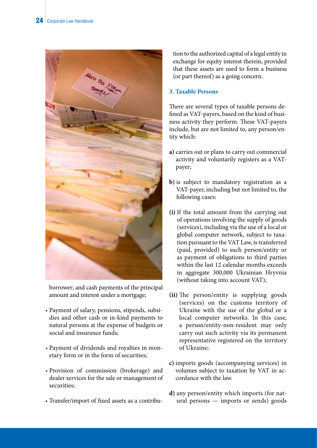

borrower; and cash payments of the principal amount and interest under a mortgage;

- Payment of salary, pensions, stipends, subsidies and other cash or in-kind payments to natural persons at the expense of budgets or social and insurance funds;
- Payment of dividends and royalties in monetary form or in the form of securities;
- Provision of commission (brokerage) and dealer services for the sale or management of securities;
- Transfer/import of fixed assets as a contribu-

tion to the authorized capital of a legal entity in exchange for equity interest therein, provided that these assets are used to form a business (or part thereof) as a going concern.

#### **3. Taxable Persons**

There are several types of taxable persons defined as VAT-payers, based on the kind of business activity they perform. These VAT-payers include, but are not limited to, any person/entity which:

- **a)** carries out or plans to carry out commercial activity and voluntarily registers as a VATpayer;
- **b)** is subject to mandatory registration as a VAT-payer, including but not limited to, the following cases:
- **(i)** If the total amount from the carrying out of operations involving the supply of goods (services), including via the use of a local or global computer network, subject to taxation pursuant to the VAT Law, is transferred (paid, provided) to such person/entity or as payment of obligations to third parties within the last 12 calendar months exceeds in aggregate 300,000 Ukrainian Hryvnia (without taking into account VAT);
- **(ii)** The person/entity is supplying goods (services) on the customs territory of Ukraine with the use of the global or a local computer networks. In this case, a person/entity-non-resident may only carry out such activity via its permanent representative registered on the territory of Ukraine;
- **c)** imports goods (accompanying services) in volumes subject to taxation by VAT in accordance with the law.
- **d)** any person/entity which imports (for natural persons — imports or sends) goods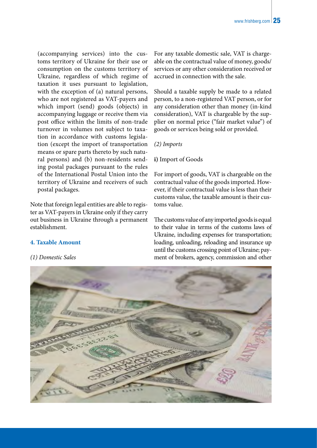(accompanying services) into the customs territory of Ukraine for their use or consumption on the customs territory of Ukraine, regardless of which regime of taxation it uses pursuant to legislation, with the exception of (a) natural persons, who are not registered as VAT-payers and which import (send) goods (objects) in accompanying luggage or receive them via post office within the limits of non-trade turnover in volumes not subject to taxation in accordance with customs legislation (except the import of transportation means or spare parts thereto by such natural persons) and (b) non-residents sending postal packages pursuant to the rules of the International Postal Union into the territory of Ukraine and receivers of such postal packages.

Note that foreign legal entities are able to register as VAT-payers in Ukraine only if they carry out business in Ukraine through a permanent establishment.

#### **4. Taxable Amount**

*(1) Domestic Sales*

For any taxable domestic sale, VAT is chargeable on the contractual value of money, goods/ services or any other consideration received or accrued in connection with the sale.

Should a taxable supply be made to a related person, to a non-registered VAT person, or for any consideration other than money (in-kind consideration), VAT is chargeable by the supplier on normal price ("fair market value") of goods or services being sold or provided.

#### *(2) Imports*

#### **i)** Import of Goods

For import of goods, VAT is chargeable on the contractual value of the goods imported. However, if their contractual value is less than their customs value, the taxable amount is their customs value.

The customs value of any imported goods is equal to their value in terms of the customs laws of Ukraine, including expenses for transportation; loading, unloading, reloading and insurance up until the customs crossing point of Ukraine; payment of brokers, agency, commission and other

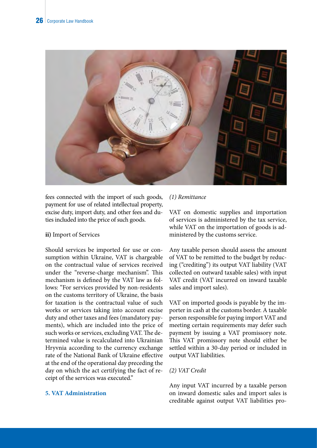

fees connected with the import of such goods, payment for use of related intellectual property, excise duty, import duty, and other fees and duties included into the price of such goods.

#### **ii)** Import of Services

Should services be imported for use or consumption within Ukraine, VAT is chargeable on the contractual value of services received under the "reverse-charge mechanism". This mechanism is defined by the VAT law as follows: "For services provided by non-residents on the customs territory of Ukraine, the basis for taxation is the contractual value of such works or services taking into account excise duty and other taxes and fees (mandatory payments), which are included into the price of such works or services, excluding VAT. The determined value is recalculated into Ukrainian Hryvnia according to the currency exchange rate of the National Bank of Ukraine effective at the end of the operational day preceding the day on which the act certifying the fact of receipt of the services was executed."

#### **5. VAT Administration**

#### *(1) Remittance*

VAT on domestic supplies and importation of services is administered by the tax service, while VAT on the importation of goods is administered by the customs service.

Any taxable person should assess the amount of VAT to be remitted to the budget by reducing ("crediting") its output VAT liability (VAT collected on outward taxable sales) with input VAT credit (VAT incurred on inward taxable sales and import sales).

VAT on imported goods is payable by the importer in cash at the customs border. A taxable person responsible for paying import VAT and meeting certain requirements may defer such payment by issuing a VAT promissory note. This VAT promissory note should either be settled within a 30-day period or included in output VAT liabilities.

#### *(2) VAT Credit*

Any input VAT incurred by a taxable person on inward domestic sales and import sales is creditable against output VAT liabilities pro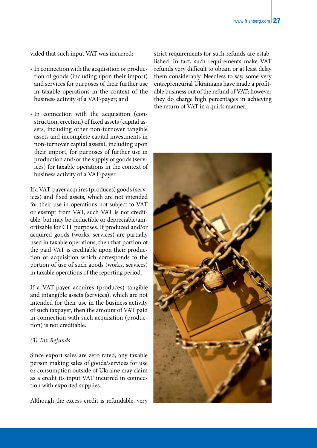vided that such input VAT was incurred:

- In connection with the acquisition or production of goods (including upon their import) and services for purposes of their further use in taxable operations in the context of the business activity of a VAT-payer; and
- In connection with the acquisition (construction, erection) of fixed assets (capital assets, including other non-turnover tangible assets and incomplete capital investments in non-turnover capital assets), including upon their import, for purposes of further use in production and/or the supply of goods (services) for taxable operations in the context of business activity of a VAT-payer.

If a VAT-payer acquires (produces) goods (services) and fixed assets, which are not intended for their use in operations not subject to VAT or exempt from VAT, such VAT is not creditable, but may be deductible or depreciable/amortizable for CIT purposes. If produced and/or acquired goods (works, services) are partially used in taxable operations, then that portion of the paid VAT is creditable upon their production or acquisition which corresponds to the portion of use of such goods (works, services) in taxable operations of the reporting period.

If a VAT-payer acquires (produces) tangible and intangible assets (services), which are not intended for their use in the business activity of such taxpayer, then the amount of VAT paid in connection with such acquisition (production) is not creditable.

#### *(3) Tax Refunds*

Since export sales are zero rated, any taxable person making sales of goods/services for use or consumption outside of Ukraine may claim as a credit its input VAT incurred in connection with exported supplies.

Although the excess credit is refundable, very

strict requirements for such refunds are established. In fact, such requirements make VAT refunds very difficult to obtain or at least delay them considerably. Needless to say, some very entrepreneurial Ukrainians have made a profitable business out of the refund of VAT; however they do charge high percentages in achieving the return of VAT in a quick manner.

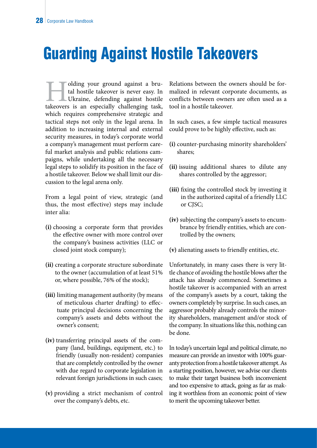### Guarding Against Hostile Takeovers

I olding your ground against a bru-<br>tal hostile takeover is never easy. In<br>Ukraine, defending against hostile<br>takeovers is an especially challenging task, tal hostile takeover is never easy. In Ukraine, defending against hostile which requires comprehensive strategic and tactical steps not only in the legal arena. In addition to increasing internal and external security measures, in today's corporate world a company's management must perform careful market analysis and public relations campaigns, while undertaking all the necessary legal steps to solidify its position in the face of a hostile takeover. Below we shall limit our discussion to the legal arena only.

From a legal point of view, strategic (and thus, the most effective) steps may include inter alia:

- **(i)** choosing a corporate form that provides the effective owner with more control over the company's business activities (LLC or closed joint stock company);
- **(ii)** creating a corporate structure subordinate to the owner (accumulation of at least 51% or, where possible, 76% of the stock);
- **(iii)** limiting management authority (by means of meticulous charter drafting) to effectuate principal decisions concerning the company's assets and debts without the owner's consent;
- **(iv)** transferring principal assets of the company (land, buildings, equipment, etc.) to friendly (usually non-resident) companies that are completely controlled by the owner with due regard to corporate legislation in relevant foreign jurisdictions in such cases;
- **(v)** providing a strict mechanism of control over the company's debts, etc.

Relations between the owners should be formalized in relevant corporate documents, as conflicts between owners are often used as a tool in a hostile takeover.

In such cases, a few simple tactical measures could prove to be highly effective, such as:

- **(i)** counter-purchasing minority shareholders' shares;
- **(ii)** issuing additional shares to dilute any shares controlled by the aggressor;
- **(iii)** fixing the controlled stock by investing it in the authorized capital of a friendly LLC or CJSC;
- **(iv)** subjecting the company's assets to encumbrance by friendly entities, which are controlled by the owners;
- **(v)** alienating assets to friendly entities, etc.

Unfortunately, in many cases there is very little chance of avoiding the hostile blows after the attack has already commenced. Sometimes a hostile takeover is accompanied with an arrest of the company's assets by a court, taking the owners completely by surprise. In such cases, an aggressor probably already controls the minority shareholders, management and/or stock of the company. In situations like this, nothing can be done.

In today's uncertain legal and political climate, no measure can provide an investor with 100% guaranty protection from a hostile takeover attempt. As a starting position, however, we advise our clients to make their target business both inconvenient and too expensive to attack, going as far as making it worthless from an economic point of view to merit the upcoming takeover better.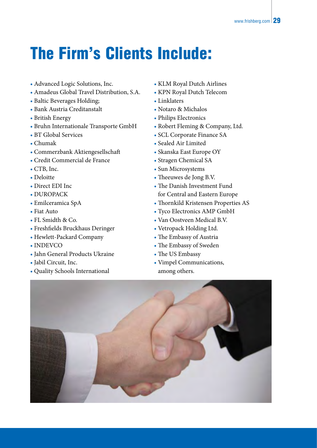# The Firm's Clients Include:

- Advanced Logic Solutions, Inc.
- Amadeus Global Travel Distribution, S.A.
- Baltic Beverages Holding;
- Bank Austria Creditanstalt
- British Energy
- Bruhn Internationale Transporte GmbH
- BT Global Services
- Chumak
- Commerzbank Aktiengesellschaft
- Credit Commercial de France
- CTB, Inc.
- Deloitte
- Direct EDI Inc
- DUROPACK
- Emilceramica SpA
- Fiat Auto
- FL Smidth & Co.
- Freshfields Bruckhaus Deringer
- Hewlett-Packard Company
- INDEVCO
- Jahn General Products Ukraine
- Jabil Circuit, Inc.
- Quality Schools International
- KLM Royal Dutch Airlines
- KPN Royal Dutch Telecom
- Linklaters
- Notaro & Michalos
- Philips Electronics
- Robert Fleming & Company, Ltd.
- SCL Corporate Finance SA
- Sealed Air Limited
- Skanska East Europe OY
- Stragen Chemical SA
- Sun Microsystems
- Theeuwes de Jong B.V.
- The Danish Investment Fund for Central and Eastern Europe
- Thornkild Kristensen Properties AS
- Tyco Electronics AMP GmbH
- Van Oostveen Medical B.V.
- Vetropack Holding Ltd.
- The Embassy of Austria
- The Embassy of Sweden
- The US Embassy
- Vimpel Communications, among others.

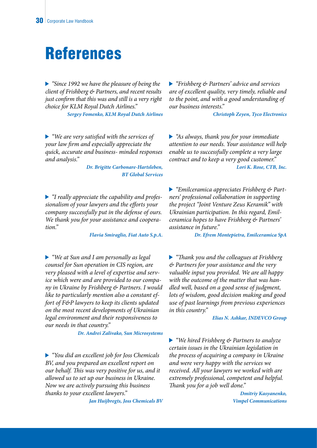### References

*"Since 1992 we have the pleasure of being the client of Frishberg & Partners, and recent results just confirm that this was and still is a very right choice for KLM Royal Dutch Airlines."* 

*Sergey Fomenko, KLM Royal Dutch Airlines*

*"We are very satisfied with the services of your law firm and especially appreciate the quick, accurate and business- minded responses and analysis."* 

> *Dr. Brigitte Carbonare-Hartsleben, BT Global Services*

*"I really appreciate the capability and professionalism of your lawyers and the efforts your company successfully put in the defense of ours. We thank you for your assistance and cooperation."* 

*Flavia Smiraglio, Fiat Auto S.p.A.*

*"We at Sun and I am personally as legal counsel for Sun operation in CIS region, are very pleased with a level of expertise and service which were and are provided to our company in Ukraine by Frishberg & Partners. I would like to particularly mention also a constant effort of F&P lawyers to keep its clients updated on the most recent developments of Ukrainian legal environment and their responsiveness to our needs in that country."* 

*Dr. Andrei Zalivako, Sun Microsystems*

*"You did an excellent job for Joss Chemicals BV, and you prepared an excellent report on our behalf. This was very positive for us, and it allowed us to set up our business in Ukraine. Now we are actively pursuing this business thanks to your excellent lawyers."* 

*Jan Huijbregts, Joss Chemicals BV*

*"Frishberg & Partners' advice and services are of excellent quality, very timely, reliable and to the point, and with a good understanding of our business interests."* 

*Christoph Zeyen, Tyco Electronics*

*"As always, thank you for your immediate attention to our needs. Your assistance will help enable us to successfully complete a very large contract and to keep a very good customer." Lori K. Rose, CTB, Inc.*

*"Emilceramica appreciates Frishberg & Partners' professional collaboration in supporting the project "Joint Venture Zeus Keramik" with Ukrainian participation. In this regard, Emilceramica hopes to have Frishberg & Partners' assistance in future."* 

*Dr. Efrem Montepietra, Emilceramica SpA*

*"Thank you and the colleagues at Frishberg & Partners for your assistance and the very valuable input you provided. We are all happy with the outcome of the matter that was handled well, based on a good sense of judgment, lots of wisdom, good decision making and good use of past learnings from previous experiences in this country."* 

#### *Elias N. Ashkar, INDEVCO Group*

*"We hired Frishberg & Partners to analyze certain issues in the Ukrainian legislation in the process of acquiring a company in Ukraine and were very happy with the services we received. All your lawyers we worked with are extremely professional, competent and helpful. Thank you for a job well done."* 

> *Dmitriy Kasyanenko, Vimpel Communications*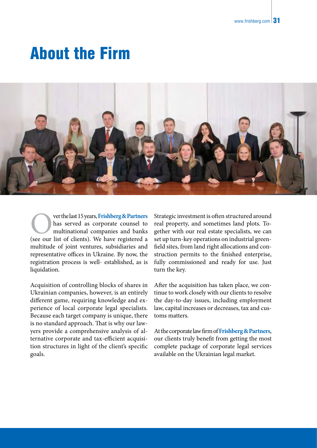### About the Firm



**C** ver the last 15 years, **Frishberg & Partners**<br>has served as corporate counsel to<br>multinational companies and banks<br>(see our list of clients). We have registered a has served as corporate counsel to multinational companies and banks (see our list of clients). We have registered a multitude of joint ventures, subsidiaries and representative offices in Ukraine. By now, the registration process is well- established, as is liquidation.

Acquisition of controlling blocks of shares in Ukrainian companies, however, is an entirely different game, requiring knowledge and experience of local corporate legal specialists. Because each target company is unique, there is no standard approach. That is why our lawyers provide a comprehensive analysis of alternative corporate and tax-efficient acquisition structures in light of the client's specific goals.

Strategic investment is often structured around real property, and sometimes land plots. Together with our real estate specialists, we can set up turn-key operations on industrial greenfield sites, from land right allocations and construction permits to the finished enterprise, fully commissioned and ready for use. Just turn the key.

After the acquisition has taken place, we continue to work closely with our clients to resolve the day-to-day issues, including employment law, capital increases or decreases, tax and customs matters.

At the corporate law firm of **Frishberg & Partners**, our clients truly benefit from getting the most complete package of corporate legal services available on the Ukrainian legal market.